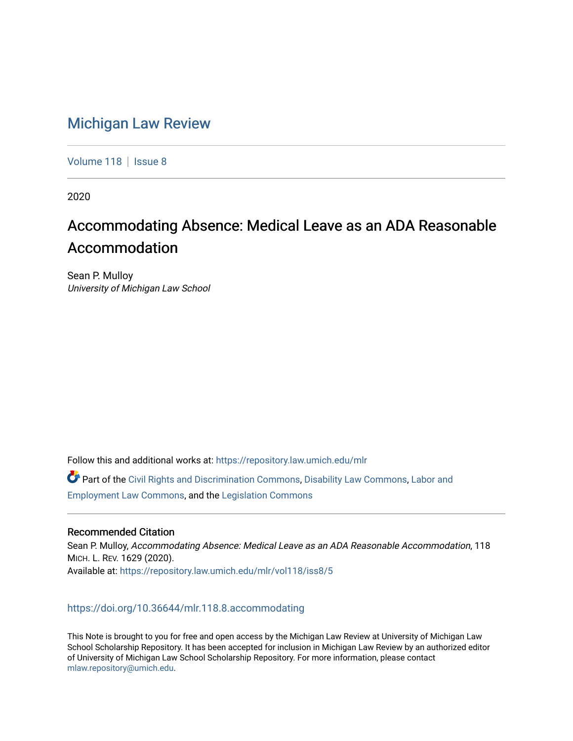# [Michigan Law Review](https://repository.law.umich.edu/mlr)

[Volume 118](https://repository.law.umich.edu/mlr/vol118) | [Issue 8](https://repository.law.umich.edu/mlr/vol118/iss8)

2020

# Accommodating Absence: Medical Leave as an ADA Reasonable Accommodation

Sean P. Mulloy University of Michigan Law School

Follow this and additional works at: [https://repository.law.umich.edu/mlr](https://repository.law.umich.edu/mlr?utm_source=repository.law.umich.edu%2Fmlr%2Fvol118%2Fiss8%2F5&utm_medium=PDF&utm_campaign=PDFCoverPages) 

Part of the [Civil Rights and Discrimination Commons,](http://network.bepress.com/hgg/discipline/585?utm_source=repository.law.umich.edu%2Fmlr%2Fvol118%2Fiss8%2F5&utm_medium=PDF&utm_campaign=PDFCoverPages) [Disability Law Commons](http://network.bepress.com/hgg/discipline/1074?utm_source=repository.law.umich.edu%2Fmlr%2Fvol118%2Fiss8%2F5&utm_medium=PDF&utm_campaign=PDFCoverPages), [Labor and](http://network.bepress.com/hgg/discipline/909?utm_source=repository.law.umich.edu%2Fmlr%2Fvol118%2Fiss8%2F5&utm_medium=PDF&utm_campaign=PDFCoverPages) [Employment Law Commons](http://network.bepress.com/hgg/discipline/909?utm_source=repository.law.umich.edu%2Fmlr%2Fvol118%2Fiss8%2F5&utm_medium=PDF&utm_campaign=PDFCoverPages), and the [Legislation Commons](http://network.bepress.com/hgg/discipline/859?utm_source=repository.law.umich.edu%2Fmlr%2Fvol118%2Fiss8%2F5&utm_medium=PDF&utm_campaign=PDFCoverPages)

# Recommended Citation

Sean P. Mulloy, Accommodating Absence: Medical Leave as an ADA Reasonable Accommodation, 118 MICH. L. REV. 1629 (2020). Available at: [https://repository.law.umich.edu/mlr/vol118/iss8/5](https://repository.law.umich.edu/mlr/vol118/iss8/5?utm_source=repository.law.umich.edu%2Fmlr%2Fvol118%2Fiss8%2F5&utm_medium=PDF&utm_campaign=PDFCoverPages) 

# <https://doi.org/10.36644/mlr.118.8.accommodating>

This Note is brought to you for free and open access by the Michigan Law Review at University of Michigan Law School Scholarship Repository. It has been accepted for inclusion in Michigan Law Review by an authorized editor of University of Michigan Law School Scholarship Repository. For more information, please contact [mlaw.repository@umich.edu.](mailto:mlaw.repository@umich.edu)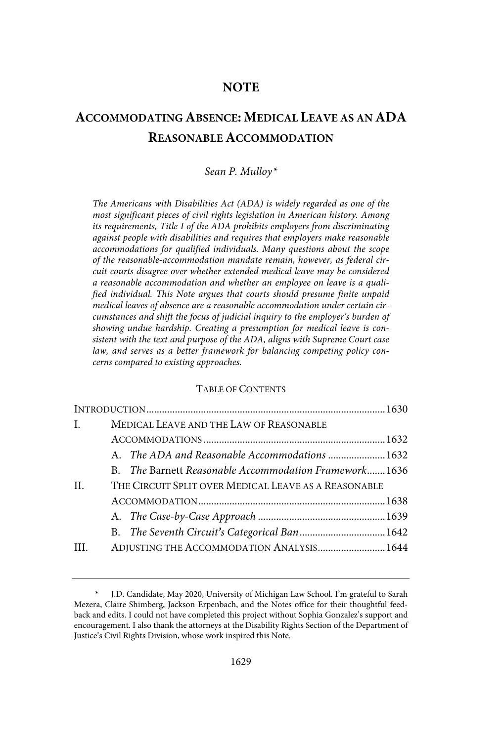# **NOTE**

# **ACCOMMODATING ABSENCE: MEDICAL LEAVE AS AN ADA REASONABLE ACCOMMODATION**

### Sean P. Mulloy\*

The Americans with Disabilities Act (ADA) is widely regarded as one of the most significant pieces of civil rights legislation in American history. Among its requirements, Title I of the ADA prohibits employers from discriminating against people with disabilities and requires that employers make reasonable accommodations for qualified individuals. Many questions about the scope of the reasonable-accommodation mandate remain, however, as federal circuit courts disagree over whether extended medical leave may be considered a reasonable accommodation and whether an employee on leave is a qualified individual. This Note argues that courts should presume finite unpaid medical leaves of absence are a reasonable accommodation under certain circumstances and shift the focus of judicial inquiry to the employer's burden of showing undue hardship. Creating a presumption for medical leave is consistent with the text and purpose of the ADA, aligns with Supreme Court case law, and serves as a better framework for balancing competing policy concerns compared to existing approaches.

#### TABLE OF CONTENTS

| $\mathbf{L}$ | MEDICAL LEAVE AND THE LAW OF REASONABLE              |                                                       |  |  |
|--------------|------------------------------------------------------|-------------------------------------------------------|--|--|
|              |                                                      |                                                       |  |  |
|              |                                                      | A. The ADA and Reasonable Accommodations  1632        |  |  |
|              |                                                      | B. The Barnett Reasonable Accommodation Framework1636 |  |  |
| II.          | THE CIRCUIT SPLIT OVER MEDICAL LEAVE AS A REASONABLE |                                                       |  |  |
|              |                                                      |                                                       |  |  |
|              |                                                      |                                                       |  |  |
|              |                                                      |                                                       |  |  |
| III.         |                                                      | ADJUSTING THE ACCOMMODATION ANALYSIS 1644             |  |  |

J.D. Candidate, May 2020, University of Michigan Law School. I'm grateful to Sarah Mezera, Claire Shimberg, Jackson Erpenbach, and the Notes office for their thoughtful feedback and edits. I could not have completed this project without Sophia Gonzalez's support and encouragement. I also thank the attorneys at the Disability Rights Section of the Department of Justice's Civil Rights Division, whose work inspired this Note.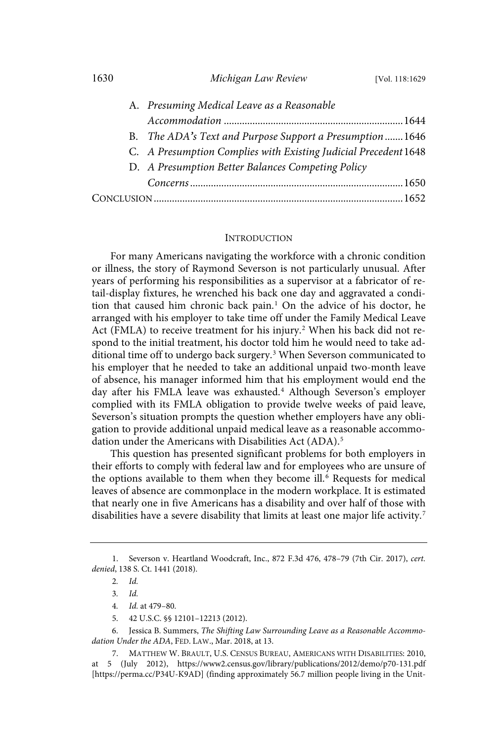#### 1630 *Michigan Law Review* [Vol. 118:1629

|  | A. Presuming Medical Leave as a Reasonable                      |  |
|--|-----------------------------------------------------------------|--|
|  |                                                                 |  |
|  | B. The ADA's Text and Purpose Support a Presumption1646         |  |
|  | C. A Presumption Complies with Existing Judicial Precedent 1648 |  |
|  | D. A Presumption Better Balances Competing Policy               |  |
|  |                                                                 |  |
|  |                                                                 |  |

#### **INTRODUCTION**

For many Americans navigating the workforce with a chronic condition or illness, the story of Raymond Severson is not particularly unusual. After years of performing his responsibilities as a supervisor at a fabricator of retail-display fixtures, he wrenched his back one day and aggravated a condition that caused him chronic back pain.<sup>1</sup> On the advice of his doctor, he arranged with his employer to take time off under the Family Medical Leave Act (FMLA) to receive treatment for his injury. <sup>2</sup> When his back did not respond to the initial treatment, his doctor told him he would need to take additional time off to undergo back surgery.<sup>3</sup> When Severson communicated to his employer that he needed to take an additional unpaid two-month leave of absence, his manager informed him that his employment would end the day after his FMLA leave was exhausted.<sup>4</sup> Although Severson's employer complied with its FMLA obligation to provide twelve weeks of paid leave, Severson's situation prompts the question whether employers have any obligation to provide additional unpaid medical leave as a reasonable accommodation under the Americans with Disabilities Act (ADA).<sup>5</sup>

This question has presented significant problems for both employers in their efforts to comply with federal law and for employees who are unsure of the options available to them when they become ill.<sup>6</sup> Requests for medical leaves of absence are commonplace in the modern workplace. It is estimated that nearly one in five Americans has a disability and over half of those with disabilities have a severe disability that limits at least one major life activity.<sup>7</sup>

<sup>1.</sup> Severson v. Heartland Woodcraft, Inc., 872 F.3d 476, 478–79 (7th Cir. 2017), cert. denied, 138 S. Ct. 1441 (2018).

<sup>2</sup>. Id.

<sup>3</sup>. Id.

<sup>4</sup>. Id. at 479–80.

<sup>5.</sup> 42 U.S.C. §§ 12101–12213 (2012).

<sup>6.</sup> Jessica B. Summers, The Shifting Law Surrounding Leave as a Reasonable Accommodation Under the ADA, FED. LAW., Mar. 2018, at 13.

<sup>7.</sup> MATTHEW W. BRAULT, U.S. CENSUS BUREAU, AMERICANS WITH DISABILITIES: 2010, at 5 (July 2012), https://www2.census.gov/library/publications/2012/demo/p70-131.pdf [https://perma.cc/P34U-K9AD] (finding approximately 56.7 million people living in the Unit-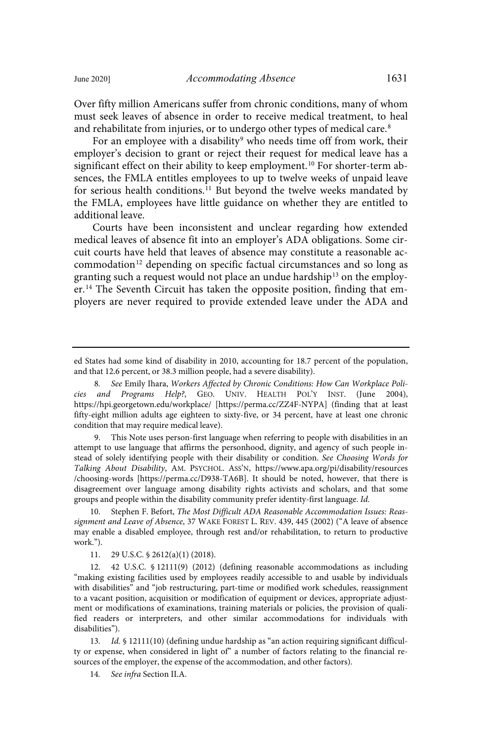Over fifty million Americans suffer from chronic conditions, many of whom must seek leaves of absence in order to receive medical treatment, to heal and rehabilitate from injuries, or to undergo other types of medical care.<sup>8</sup>

For an employee with a disability<sup>9</sup> who needs time off from work, their employer's decision to grant or reject their request for medical leave has a significant effect on their ability to keep employment.<sup>10</sup> For shorter-term absences, the FMLA entitles employees to up to twelve weeks of unpaid leave for serious health conditions.<sup>11</sup> But beyond the twelve weeks mandated by the FMLA, employees have little guidance on whether they are entitled to additional leave.

Courts have been inconsistent and unclear regarding how extended medical leaves of absence fit into an employer's ADA obligations. Some circuit courts have held that leaves of absence may constitute a reasonable accommodation<sup>12</sup> depending on specific factual circumstances and so long as granting such a request would not place an undue hardship<sup>13</sup> on the employer.<sup>14</sup> The Seventh Circuit has taken the opposite position, finding that employers are never required to provide extended leave under the ADA and

9. This Note uses person-first language when referring to people with disabilities in an attempt to use language that affirms the personhood, dignity, and agency of such people instead of solely identifying people with their disability or condition. See Choosing Words for Talking About Disability, AM. PSYCHOL. ASS'N, https://www.apa.org/pi/disability/resources /choosing-words [https://perma.cc/D938-TA6B]. It should be noted, however, that there is disagreement over language among disability rights activists and scholars, and that some groups and people within the disability community prefer identity-first language. Id.

Stephen F. Befort, The Most Difficult ADA Reasonable Accommodation Issues: Reassignment and Leave of Absence, 37 WAKE FOREST L. REV. 439, 445 (2002) ("A leave of absence may enable a disabled employee, through rest and/or rehabilitation, to return to productive work.").

11. 29 U.S.C. § 2612(a)(1) (2018).

12. 42 U.S.C. § 12111(9) (2012) (defining reasonable accommodations as including "making existing facilities used by employees readily accessible to and usable by individuals with disabilities" and "job restructuring, part-time or modified work schedules, reassignment to a vacant position, acquisition or modification of equipment or devices, appropriate adjustment or modifications of examinations, training materials or policies, the provision of qualified readers or interpreters, and other similar accommodations for individuals with disabilities").

13. Id. § 12111(10) (defining undue hardship as "an action requiring significant difficulty or expense, when considered in light of" a number of factors relating to the financial resources of the employer, the expense of the accommodation, and other factors).

14. See infra Section II.A.

ed States had some kind of disability in 2010, accounting for 18.7 percent of the population, and that 12.6 percent, or 38.3 million people, had a severe disability).

<sup>8</sup>. See Emily Ihara, Workers Affected by Chronic Conditions: How Can Workplace Policies and Programs Help?, GEO. UNIV. HEALTH POL'Y INST. (June 2004), https://hpi.georgetown.edu/workplace/ [https://perma.cc/ZZ4F-NYPA] (finding that at least fifty-eight million adults age eighteen to sixty-five, or 34 percent, have at least one chronic condition that may require medical leave).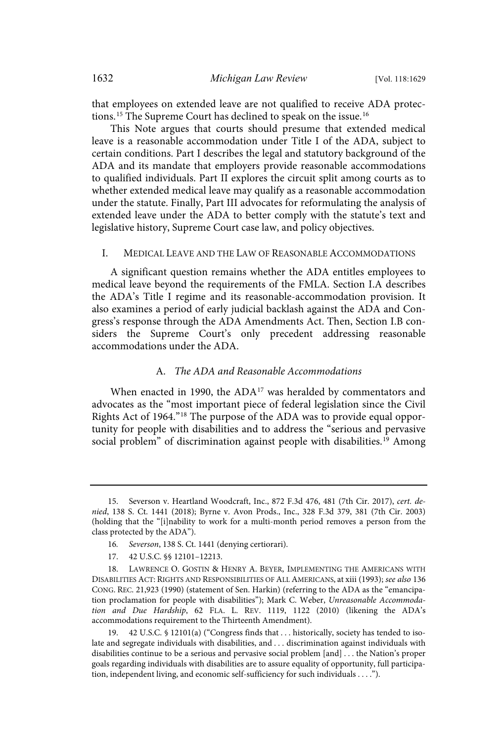that employees on extended leave are not qualified to receive ADA protections.<sup>15</sup> The Supreme Court has declined to speak on the issue.<sup>16</sup>

This Note argues that courts should presume that extended medical leave is a reasonable accommodation under Title I of the ADA, subject to certain conditions. Part I describes the legal and statutory background of the ADA and its mandate that employers provide reasonable accommodations to qualified individuals. Part II explores the circuit split among courts as to whether extended medical leave may qualify as a reasonable accommodation under the statute. Finally, Part III advocates for reformulating the analysis of extended leave under the ADA to better comply with the statute's text and legislative history, Supreme Court case law, and policy objectives.

#### I. MEDICAL LEAVE AND THE LAW OF REASONABLE ACCOMMODATIONS

A significant question remains whether the ADA entitles employees to medical leave beyond the requirements of the FMLA. Section I.A describes the ADA's Title I regime and its reasonable-accommodation provision. It also examines a period of early judicial backlash against the ADA and Congress's response through the ADA Amendments Act. Then, Section I.B considers the Supreme Court's only precedent addressing reasonable accommodations under the ADA.

#### A. The ADA and Reasonable Accommodations

When enacted in 1990, the ADA<sup>17</sup> was heralded by commentators and advocates as the "most important piece of federal legislation since the Civil Rights Act of 1964."<sup>18</sup> The purpose of the ADA was to provide equal opportunity for people with disabilities and to address the "serious and pervasive social problem" of discrimination against people with disabilities.<sup>19</sup> Among

<sup>15.</sup> Severson v. Heartland Woodcraft, Inc., 872 F.3d 476, 481 (7th Cir. 2017), cert. denied, 138 S. Ct. 1441 (2018); Byrne v. Avon Prods., Inc., 328 F.3d 379, 381 (7th Cir. 2003) (holding that the "[i]nability to work for a multi-month period removes a person from the class protected by the ADA").

<sup>16</sup>. Severson, 138 S. Ct. 1441 (denying certiorari).

<sup>17.</sup> 42 U.S.C. §§ 12101–12213.

<sup>18.</sup> LAWRENCE O. GOSTIN & HENRY A. BEYER, IMPLEMENTING THE AMERICANS WITH DISABILITIES ACT: RIGHTS AND RESPONSIBILITIES OF ALL AMERICANS, at xiii (1993); see also 136 CONG. REC. 21,923 (1990) (statement of Sen. Harkin) (referring to the ADA as the "emancipation proclamation for people with disabilities"); Mark C. Weber, Unreasonable Accommodation and Due Hardship, 62 FLA. L. REV. 1119, 1122 (2010) (likening the ADA's accommodations requirement to the Thirteenth Amendment).

<sup>19.</sup> 42 U.S.C. § 12101(a) ("Congress finds that . . . historically, society has tended to isolate and segregate individuals with disabilities, and . . . discrimination against individuals with disabilities continue to be a serious and pervasive social problem [and] . . . the Nation's proper goals regarding individuals with disabilities are to assure equality of opportunity, full participation, independent living, and economic self-sufficiency for such individuals . . . .").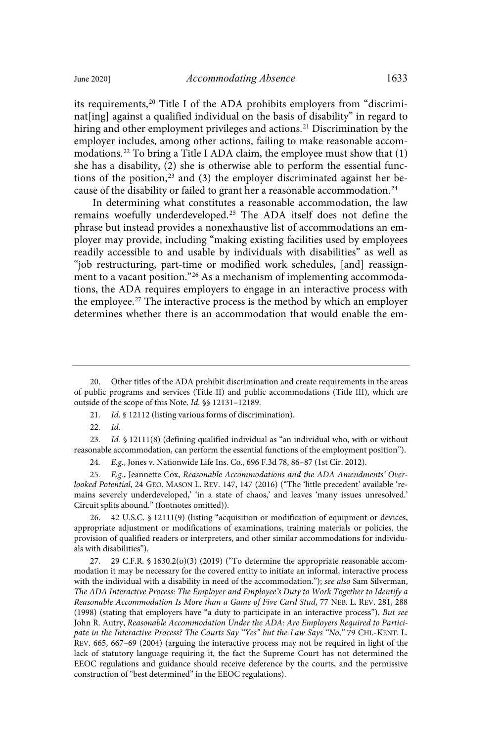its requirements,<sup>20</sup> Title I of the ADA prohibits employers from "discriminat[ing] against a qualified individual on the basis of disability" in regard to hiring and other employment privileges and actions.<sup>21</sup> Discrimination by the employer includes, among other actions, failing to make reasonable accommodations.<sup>22</sup> To bring a Title I ADA claim, the employee must show that  $(1)$ she has a disability, (2) she is otherwise able to perform the essential functions of the position, $^{23}$  and (3) the employer discriminated against her because of the disability or failed to grant her a reasonable accommodation.<sup>24</sup>

In determining what constitutes a reasonable accommodation, the law remains woefully underdeveloped.<sup>25</sup> The ADA itself does not define the phrase but instead provides a nonexhaustive list of accommodations an employer may provide, including "making existing facilities used by employees readily accessible to and usable by individuals with disabilities" as well as "job restructuring, part-time or modified work schedules, [and] reassignment to a vacant position."<sup>26</sup> As a mechanism of implementing accommodations, the ADA requires employers to engage in an interactive process with the employee.<sup>27</sup> The interactive process is the method by which an employer determines whether there is an accommodation that would enable the em-

- 21. Id. § 12112 (listing various forms of discrimination).
- $22.$

42 U.S.C. § 12111(9) (listing "acquisition or modification of equipment or devices, appropriate adjustment or modifications of examinations, training materials or policies, the provision of qualified readers or interpreters, and other similar accommodations for individuals with disabilities").

29 C.F.R.  $\frac{1630.2(o)(3)(2019)(60)}{1000}$  ("To determine the appropriate reasonable accommodation it may be necessary for the covered entity to initiate an informal, interactive process with the individual with a disability in need of the accommodation."); see also Sam Silverman, The ADA Interactive Process: The Employer and Employee's Duty to Work Together to Identify a Reasonable Accommodation Is More than a Game of Five Card Stud, 77 NEB. L. REV. 281, 288 (1998) (stating that employers have "a duty to participate in an interactive process"). But see John R. Autry, Reasonable Accommodation Under the ADA: Are Employers Required to Participate in the Interactive Process? The Courts Say "Yes" but the Law Says "No," 79 CHI.-KENT. L. REV. 665, 667–69 (2004) (arguing the interactive process may not be required in light of the lack of statutory language requiring it, the fact the Supreme Court has not determined the EEOC regulations and guidance should receive deference by the courts, and the permissive construction of "best determined" in the EEOC regulations).

<sup>20.</sup> Other titles of the ADA prohibit discrimination and create requirements in the areas of public programs and services (Title II) and public accommodations (Title III), which are outside of the scope of this Note. Id. §§ 12131–12189.

<sup>23.</sup> Id.  $\oint$  12111(8) (defining qualified individual as "an individual who, with or without reasonable accommodation, can perform the essential functions of the employment position").

<sup>24</sup>. E.g., Jones v. Nationwide Life Ins. Co., 696 F.3d 78, 86–87 (1st Cir. 2012).

<sup>25</sup>. E.g., Jeannette Cox, Reasonable Accommodations and the ADA Amendments' Overlooked Potential, 24 GEO. MASON L. REV. 147, 147 (2016) ("The 'little precedent' available 'remains severely underdeveloped,' 'in a state of chaos,' and leaves 'many issues unresolved.' Circuit splits abound." (footnotes omitted)).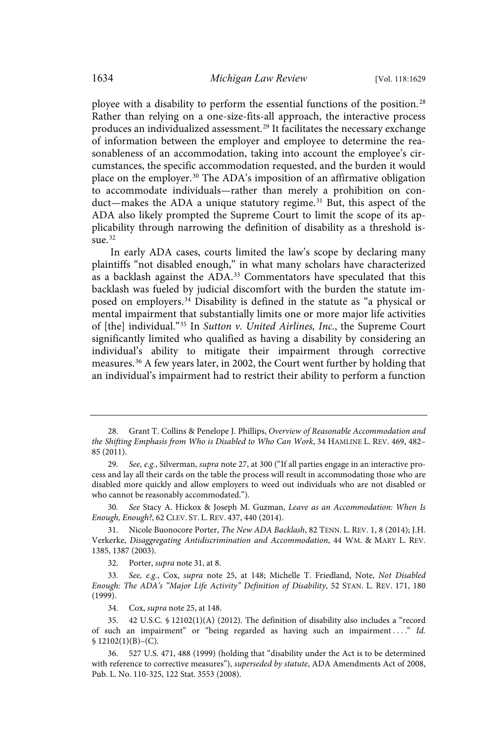ployee with a disability to perform the essential functions of the position.<sup>28</sup> Rather than relying on a one-size-fits-all approach, the interactive process produces an individualized assessment. <sup>29</sup> It facilitates the necessary exchange of information between the employer and employee to determine the reasonableness of an accommodation, taking into account the employee's circumstances, the specific accommodation requested, and the burden it would place on the employer.<sup>30</sup> The ADA's imposition of an affirmative obligation to accommodate individuals—rather than merely a prohibition on conduct—makes the ADA a unique statutory regime.<sup>31</sup> But, this aspect of the ADA also likely prompted the Supreme Court to limit the scope of its applicability through narrowing the definition of disability as a threshold issue. $32$ 

In early ADA cases, courts limited the law's scope by declaring many plaintiffs "not disabled enough," in what many scholars have characterized as a backlash against the ADA.<sup>33</sup> Commentators have speculated that this backlash was fueled by judicial discomfort with the burden the statute imposed on employers.<sup>34</sup> Disability is defined in the statute as "a physical or mental impairment that substantially limits one or more major life activities of [the] individual."<sup>35</sup> In Sutton v. United Airlines, Inc., the Supreme Court significantly limited who qualified as having a disability by considering an individual's ability to mitigate their impairment through corrective measures.<sup>36</sup> A few years later, in 2002, the Court went further by holding that an individual's impairment had to restrict their ability to perform a function

30. See Stacy A. Hickox & Joseph M. Guzman, Leave as an Accommodation: When Is Enough, Enough?, 62 CLEV. ST. L. REV. 437, 440 (2014).

31. Nicole Buonocore Porter, The New ADA Backlash, 82 TENN. L. REV. 1, 8 (2014); J.H. Verkerke, Disaggregating Antidiscrimination and Accommodation, 44 WM. & MARY L. REV. 1385, 1387 (2003).

32. Porter, supra note 31, at 8.

33. See, e.g., Cox, supra note 25, at 148; Michelle T. Friedland, Note, Not Disabled Enough: The ADA's "Major Life Activity" Definition of Disability, 52 STAN. L. REV. 171, 180 (1999).

34. Cox, supra note 25, at 148.

35. 42 U.S.C. § 12102(1)(A) (2012). The definition of disability also includes a "record of such an impairment" or "being regarded as having such an impairment ...." Id.  $$ 12102(1)(B)–(C).$ 

36. 527 U.S. 471, 488 (1999) (holding that "disability under the Act is to be determined with reference to corrective measures"), superseded by statute, ADA Amendments Act of 2008, Pub. L. No. 110-325, 122 Stat. 3553 (2008).

<sup>28.</sup> Grant T. Collins & Penelope J. Phillips, Overview of Reasonable Accommodation and the Shifting Emphasis from Who is Disabled to Who Can Work, 34 HAMLINE L. REV. 469, 482– 85 (2011).

<sup>29.</sup> See, e.g., Silverman, supra note 27, at 300 ("If all parties engage in an interactive process and lay all their cards on the table the process will result in accommodating those who are disabled more quickly and allow employers to weed out individuals who are not disabled or who cannot be reasonably accommodated.").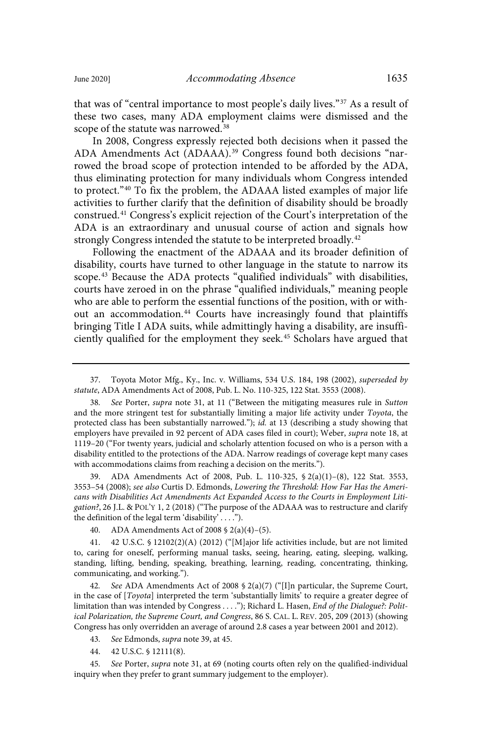that was of "central importance to most people's daily lives."<sup>37</sup> As a result of these two cases, many ADA employment claims were dismissed and the scope of the statute was narrowed.<sup>38</sup>

In 2008, Congress expressly rejected both decisions when it passed the ADA Amendments Act (ADAAA). <sup>39</sup> Congress found both decisions "narrowed the broad scope of protection intended to be afforded by the ADA, thus eliminating protection for many individuals whom Congress intended to protect."<sup>40</sup> To fix the problem, the ADAAA listed examples of major life activities to further clarify that the definition of disability should be broadly construed.<sup>41</sup> Congress's explicit rejection of the Court's interpretation of the ADA is an extraordinary and unusual course of action and signals how strongly Congress intended the statute to be interpreted broadly.<sup>42</sup>

Following the enactment of the ADAAA and its broader definition of disability, courts have turned to other language in the statute to narrow its scope.<sup>43</sup> Because the ADA protects "qualified individuals" with disabilities, courts have zeroed in on the phrase "qualified individuals," meaning people who are able to perform the essential functions of the position, with or without an accommodation. <sup>44</sup> Courts have increasingly found that plaintiffs bringing Title I ADA suits, while admittingly having a disability, are insufficiently qualified for the employment they seek. <sup>45</sup> Scholars have argued that

39. ADA Amendments Act of 2008, Pub. L. 110-325, § 2(a)(1)–(8), 122 Stat. 3553, 3553–54 (2008); see also Curtis D. Edmonds, Lowering the Threshold: How Far Has the Americans with Disabilities Act Amendments Act Expanded Access to the Courts in Employment Litigation?, 26 J.L. & POL'Y 1, 2 (2018) ("The purpose of the ADAAA was to restructure and clarify the definition of the legal term 'disability' . . . .").

41. 42 U.S.C. § 12102(2)(A) (2012) ("[M]ajor life activities include, but are not limited to, caring for oneself, performing manual tasks, seeing, hearing, eating, sleeping, walking, standing, lifting, bending, speaking, breathing, learning, reading, concentrating, thinking, communicating, and working.").

42. See ADA Amendments Act of 2008 § 2(a)(7) ("[I]n particular, the Supreme Court, in the case of [Toyota] interpreted the term 'substantially limits' to require a greater degree of limitation than was intended by Congress . . . ."); Richard L. Hasen, End of the Dialogue?: Political Polarization, the Supreme Court, and Congress, 86 S. CAL. L. REV. 205, 209 (2013) (showing Congress has only overridden an average of around 2.8 cases a year between 2001 and 2012).

43. See Edmonds, supra note 39, at 45.

44. 42 U.S.C. § 12111(8).

45. See Porter, supra note 31, at 69 (noting courts often rely on the qualified-individual inquiry when they prefer to grant summary judgement to the employer).

<sup>37.</sup> Toyota Motor Mfg., Ky., Inc. v. Williams, 534 U.S. 184, 198 (2002), superseded by statute, ADA Amendments Act of 2008, Pub. L. No. 110-325, 122 Stat. 3553 (2008).

See Porter, supra note 31, at 11 ("Between the mitigating measures rule in Sutton and the more stringent test for substantially limiting a major life activity under Toyota, the protected class has been substantially narrowed."); id. at 13 (describing a study showing that employers have prevailed in 92 percent of ADA cases filed in court); Weber, supra note 18, at 1119–20 ("For twenty years, judicial and scholarly attention focused on who is a person with a disability entitled to the protections of the ADA. Narrow readings of coverage kept many cases with accommodations claims from reaching a decision on the merits.").

<sup>40.</sup> ADA Amendments Act of 2008 § 2(a)(4)–(5).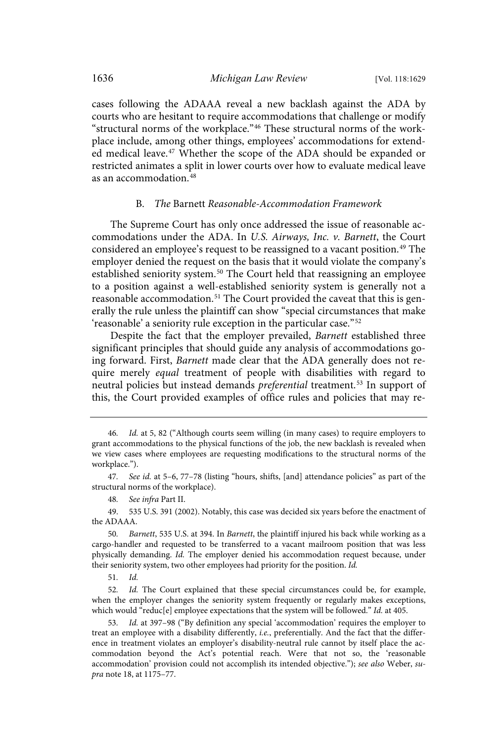cases following the ADAAA reveal a new backlash against the ADA by courts who are hesitant to require accommodations that challenge or modify "structural norms of the workplace." <sup>46</sup> These structural norms of the workplace include, among other things, employees' accommodations for extended medical leave. <sup>47</sup> Whether the scope of the ADA should be expanded or restricted animates a split in lower courts over how to evaluate medical leave as an accommodation. 48

#### B. The Barnett Reasonable-Accommodation Framework

The Supreme Court has only once addressed the issue of reasonable accommodations under the ADA. In U.S. Airways, Inc. v. Barnett, the Court considered an employee's request to be reassigned to a vacant position. <sup>49</sup> The employer denied the request on the basis that it would violate the company's established seniority system. <sup>50</sup> The Court held that reassigning an employee to a position against a well-established seniority system is generally not a reasonable accommodation. <sup>51</sup> The Court provided the caveat that this is generally the rule unless the plaintiff can show "special circumstances that make 'reasonable' a seniority rule exception in the particular case."<sup>52</sup>

Despite the fact that the employer prevailed, Barnett established three significant principles that should guide any analysis of accommodations going forward. First, Barnett made clear that the ADA generally does not require merely equal treatment of people with disabilities with regard to neutral policies but instead demands *preferential* treatment.<sup>53</sup> In support of this, the Court provided examples of office rules and policies that may re-

48. See infra Part II.

49. 535 U.S. 391 (2002). Notably, this case was decided six years before the enactment of the ADAAA.

50. Barnett, 535 U.S. at 394. In Barnett, the plaintiff injured his back while working as a cargo-handler and requested to be transferred to a vacant mailroom position that was less physically demanding. Id. The employer denied his accommodation request because, under their seniority system, two other employees had priority for the position. Id.

51. Id.

52. Id. The Court explained that these special circumstances could be, for example, when the employer changes the seniority system frequently or regularly makes exceptions, which would "reduc[e] employee expectations that the system will be followed." Id. at 405.

53. Id. at 397–98 ("By definition any special 'accommodation' requires the employer to treat an employee with a disability differently, i.e., preferentially. And the fact that the difference in treatment violates an employer's disability-neutral rule cannot by itself place the accommodation beyond the Act's potential reach. Were that not so, the 'reasonable accommodation' provision could not accomplish its intended objective."); see also Weber, supra note 18, at 1175–77.

<sup>46</sup>. Id. at 5, 82 ("Although courts seem willing (in many cases) to require employers to grant accommodations to the physical functions of the job, the new backlash is revealed when we view cases where employees are requesting modifications to the structural norms of the workplace.").

<sup>47</sup>. See id. at 5–6, 77–78 (listing "hours, shifts, [and] attendance policies" as part of the structural norms of the workplace).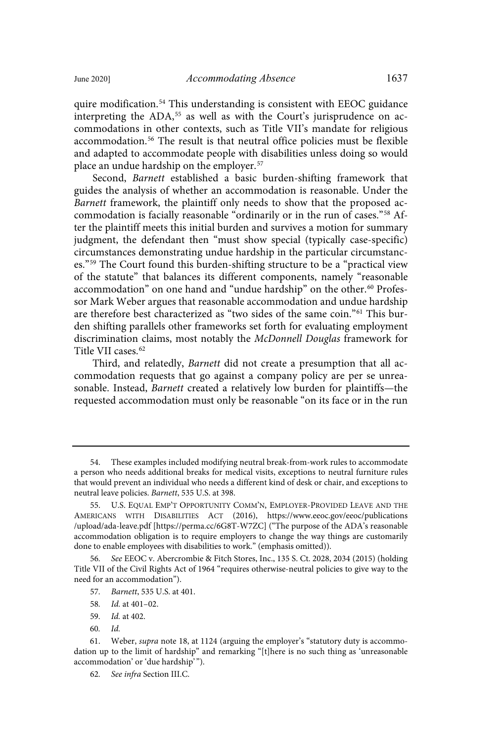quire modification.<sup>54</sup> This understanding is consistent with EEOC guidance interpreting the ADA,<sup>55</sup> as well as with the Court's jurisprudence on accommodations in other contexts, such as Title VII's mandate for religious accommodation. <sup>56</sup> The result is that neutral office policies must be flexible and adapted to accommodate people with disabilities unless doing so would place an undue hardship on the employer. 57

Second, Barnett established a basic burden-shifting framework that guides the analysis of whether an accommodation is reasonable. Under the Barnett framework, the plaintiff only needs to show that the proposed accommodation is facially reasonable "ordinarily or in the run of cases."<sup>58</sup> After the plaintiff meets this initial burden and survives a motion for summary judgment, the defendant then "must show special (typically case-specific) circumstances demonstrating undue hardship in the particular circumstances." <sup>59</sup> The Court found this burden-shifting structure to be a "practical view of the statute" that balances its different components, namely "reasonable accommodation" on one hand and "undue hardship" on the other.<sup>60</sup> Professor Mark Weber argues that reasonable accommodation and undue hardship are therefore best characterized as "two sides of the same coin."<sup>61</sup> This burden shifting parallels other frameworks set forth for evaluating employment discrimination claims, most notably the McDonnell Douglas framework for Title VII cases.<sup>62</sup>

Third, and relatedly, Barnett did not create a presumption that all accommodation requests that go against a company policy are per se unreasonable. Instead, Barnett created a relatively low burden for plaintiffs—the requested accommodation must only be reasonable "on its face or in the run

- 57. Barnett, 535 U.S. at 401.
- 58. Id. at 401–02.
- 59. Id. at 402.
- $60 \text{ J}d$

<sup>54.</sup> These examples included modifying neutral break-from-work rules to accommodate a person who needs additional breaks for medical visits, exceptions to neutral furniture rules that would prevent an individual who needs a different kind of desk or chair, and exceptions to neutral leave policies. Barnett, 535 U.S. at 398.

<sup>55.</sup> U.S. EQUAL EMP'T OPPORTUNITY COMM'N, EMPLOYER-PROVIDED LEAVE AND THE AMERICANS WITH DISABILITIES ACT (2016), https://www.eeoc.gov/eeoc/publications /upload/ada-leave.pdf [https://perma.cc/6G8T-W7ZC] ("The purpose of the ADA's reasonable accommodation obligation is to require employers to change the way things are customarily done to enable employees with disabilities to work." (emphasis omitted)).

<sup>56</sup>. See EEOC v. Abercrombie & Fitch Stores, Inc., 135 S. Ct. 2028, 2034 (2015) (holding Title VII of the Civil Rights Act of 1964 "requires otherwise-neutral policies to give way to the need for an accommodation").

<sup>61.</sup> Weber, supra note 18, at 1124 (arguing the employer's "statutory duty is accommodation up to the limit of hardship" and remarking "[t]here is no such thing as 'unreasonable accommodation' or 'due hardship' ").

<sup>62</sup>. See infra Section III.C.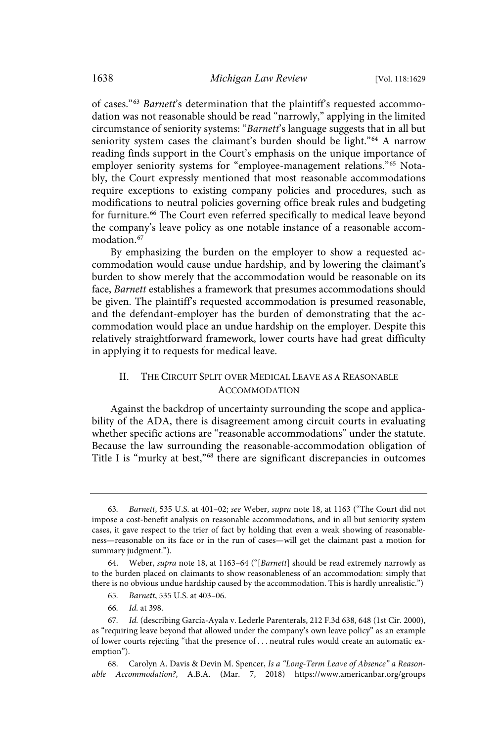of cases."<sup>63</sup> Barnett's determination that the plaintiff's requested accommodation was not reasonable should be read "narrowly," applying in the limited circumstance of seniority systems: "Barnett's language suggests that in all but seniority system cases the claimant's burden should be light."<sup>64</sup> A narrow reading finds support in the Court's emphasis on the unique importance of employer seniority systems for "employee-management relations."<sup>65</sup> Notably, the Court expressly mentioned that most reasonable accommodations require exceptions to existing company policies and procedures, such as modifications to neutral policies governing office break rules and budgeting for furniture.<sup>66</sup> The Court even referred specifically to medical leave beyond the company's leave policy as one notable instance of a reasonable accommodation. 67

By emphasizing the burden on the employer to show a requested accommodation would cause undue hardship, and by lowering the claimant's burden to show merely that the accommodation would be reasonable on its face, Barnett establishes a framework that presumes accommodations should be given. The plaintiff's requested accommodation is presumed reasonable, and the defendant-employer has the burden of demonstrating that the accommodation would place an undue hardship on the employer. Despite this relatively straightforward framework, lower courts have had great difficulty in applying it to requests for medical leave.

## II. THE CIRCUIT SPLIT OVER MEDICAL LEAVE AS A REASONABLE ACCOMMODATION

Against the backdrop of uncertainty surrounding the scope and applicability of the ADA, there is disagreement among circuit courts in evaluating whether specific actions are "reasonable accommodations" under the statute. Because the law surrounding the reasonable-accommodation obligation of Title I is "murky at best," <sup>68</sup> there are significant discrepancies in outcomes

- 65. Barnett, 535 U.S. at 403–06.
- 66. Id. at 398.

<sup>63</sup>. Barnett, 535 U.S. at 401–02; see Weber, supra note 18, at 1163 ("The Court did not impose a cost-benefit analysis on reasonable accommodations, and in all but seniority system cases, it gave respect to the trier of fact by holding that even a weak showing of reasonableness—reasonable on its face or in the run of cases—will get the claimant past a motion for summary judgment.").

<sup>64.</sup> Weber, supra note 18, at 1163–64 ("[Barnett] should be read extremely narrowly as to the burden placed on claimants to show reasonableness of an accommodation: simply that there is no obvious undue hardship caused by the accommodation. This is hardly unrealistic.")

<sup>67</sup>. Id. (describing García-Ayala v. Lederle Parenterals, 212 F.3d 638, 648 (1st Cir. 2000), as "requiring leave beyond that allowed under the company's own leave policy" as an example of lower courts rejecting "that the presence of . . . neutral rules would create an automatic exemption").

<sup>68.</sup> Carolyn A. Davis & Devin M. Spencer, Is a "Long-Term Leave of Absence" a Reasonable Accommodation?, A.B.A. (Mar. 7, 2018) https://www.americanbar.org/groups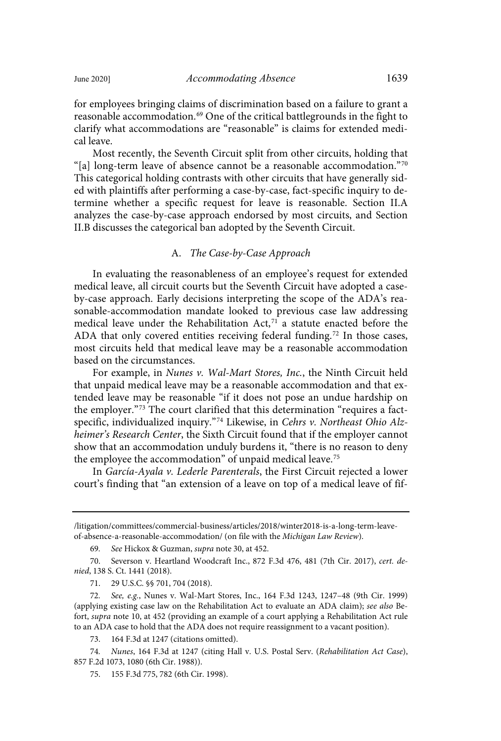for employees bringing claims of discrimination based on a failure to grant a reasonable accommodation. <sup>69</sup> One of the critical battlegrounds in the fight to clarify what accommodations are "reasonable" is claims for extended medical leave.

Most recently, the Seventh Circuit split from other circuits, holding that "[a] long-term leave of absence cannot be a reasonable accommodation."<sup>70</sup> This categorical holding contrasts with other circuits that have generally sided with plaintiffs after performing a case-by-case, fact-specific inquiry to determine whether a specific request for leave is reasonable. Section II.A analyzes the case-by-case approach endorsed by most circuits, and Section II.B discusses the categorical ban adopted by the Seventh Circuit.

#### A. The Case-by-Case Approach

In evaluating the reasonableness of an employee's request for extended medical leave, all circuit courts but the Seventh Circuit have adopted a caseby-case approach. Early decisions interpreting the scope of the ADA's reasonable-accommodation mandate looked to previous case law addressing medical leave under the Rehabilitation Act, $7<sup>1</sup>$  a statute enacted before the ADA that only covered entities receiving federal funding.<sup>72</sup> In those cases, most circuits held that medical leave may be a reasonable accommodation based on the circumstances.

For example, in Nunes v. Wal-Mart Stores, Inc., the Ninth Circuit held that unpaid medical leave may be a reasonable accommodation and that extended leave may be reasonable "if it does not pose an undue hardship on the employer."<sup>73</sup> The court clarified that this determination "requires a factspecific, individualized inquiry."<sup>74</sup> Likewise, in Cehrs v. Northeast Ohio Alzheimer's Research Center, the Sixth Circuit found that if the employer cannot show that an accommodation unduly burdens it, "there is no reason to deny the employee the accommodation" of unpaid medical leave.<sup>75</sup>

In García-Ayala v. Lederle Parenterals, the First Circuit rejected a lower court's finding that "an extension of a leave on top of a medical leave of fif-

70. Severson v. Heartland Woodcraft Inc., 872 F.3d 476, 481 (7th Cir. 2017), cert. denied, 138 S. Ct. 1441 (2018).

71. 29 U.S.C. §§ 701, 704 (2018).

72. See, e.g., Nunes v. Wal-Mart Stores, Inc., 164 F.3d 1243, 1247–48 (9th Cir. 1999) (applying existing case law on the Rehabilitation Act to evaluate an ADA claim); see also Befort, supra note 10, at 452 (providing an example of a court applying a Rehabilitation Act rule to an ADA case to hold that the ADA does not require reassignment to a vacant position).

73. 164 F.3d at 1247 (citations omitted).

74. Nunes, 164 F.3d at 1247 (citing Hall v. U.S. Postal Serv. (Rehabilitation Act Case), 857 F.2d 1073, 1080 (6th Cir. 1988)).

75. 155 F.3d 775, 782 (6th Cir. 1998).

<sup>/</sup>litigation/committees/commercial-business/articles/2018/winter2018-is-a-long-term-leaveof-absence-a-reasonable-accommodation/ (on file with the Michigan Law Review).

<sup>69</sup>. See Hickox & Guzman, supra note 30, at 452.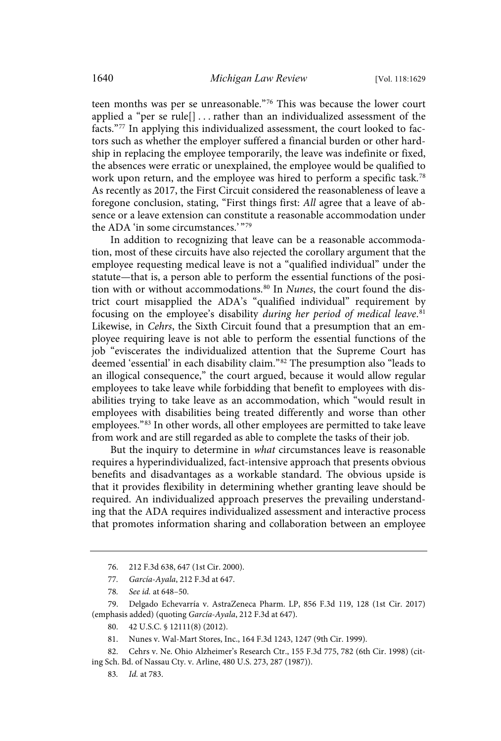teen months was per se unreasonable." <sup>76</sup> This was because the lower court applied a "per se rule[] . . . rather than an individualized assessment of the facts." <sup>77</sup> In applying this individualized assessment, the court looked to factors such as whether the employer suffered a financial burden or other hardship in replacing the employee temporarily, the leave was indefinite or fixed, the absences were erratic or unexplained, the employee would be qualified to work upon return, and the employee was hired to perform a specific task. 78 As recently as 2017, the First Circuit considered the reasonableness of leave a foregone conclusion, stating, "First things first: All agree that a leave of absence or a leave extension can constitute a reasonable accommodation under the ADA 'in some circumstances.' "79

In addition to recognizing that leave can be a reasonable accommodation, most of these circuits have also rejected the corollary argument that the employee requesting medical leave is not a "qualified individual" under the statute—that is, a person able to perform the essential functions of the position with or without accommodations. $80$  In Nunes, the court found the district court misapplied the ADA's "qualified individual" requirement by focusing on the employee's disability during her period of medical leave.<sup>81</sup> Likewise, in Cehrs, the Sixth Circuit found that a presumption that an employee requiring leave is not able to perform the essential functions of the job "eviscerates the individualized attention that the Supreme Court has deemed 'essential' in each disability claim."<sup>82</sup> The presumption also "leads to an illogical consequence," the court argued, because it would allow regular employees to take leave while forbidding that benefit to employees with disabilities trying to take leave as an accommodation, which "would result in employees with disabilities being treated differently and worse than other employees." <sup>83</sup> In other words, all other employees are permitted to take leave from work and are still regarded as able to complete the tasks of their job.

But the inquiry to determine in what circumstances leave is reasonable requires a hyperindividualized, fact-intensive approach that presents obvious benefits and disadvantages as a workable standard. The obvious upside is that it provides flexibility in determining whether granting leave should be required. An individualized approach preserves the prevailing understanding that the ADA requires individualized assessment and interactive process that promotes information sharing and collaboration between an employee

80. 42 U.S.C. § 12111(8) (2012).

83. Id. at 783.

<sup>76.</sup> 212 F.3d 638, 647 (1st Cir. 2000).

<sup>77</sup>. García-Ayala, 212 F.3d at 647.

<sup>78</sup>. See id. at 648–50.

<sup>79.</sup> Delgado Echevarría v. AstraZeneca Pharm. LP, 856 F.3d 119, 128 (1st Cir. 2017) (emphasis added) (quoting García-Ayala, 212 F.3d at 647).

<sup>81.</sup> Nunes v. Wal-Mart Stores, Inc., 164 F.3d 1243, 1247 (9th Cir. 1999).

<sup>82.</sup> Cehrs v. Ne. Ohio Alzheimer's Research Ctr., 155 F.3d 775, 782 (6th Cir. 1998) (citing Sch. Bd. of Nassau Cty. v. Arline, 480 U.S. 273, 287 (1987)).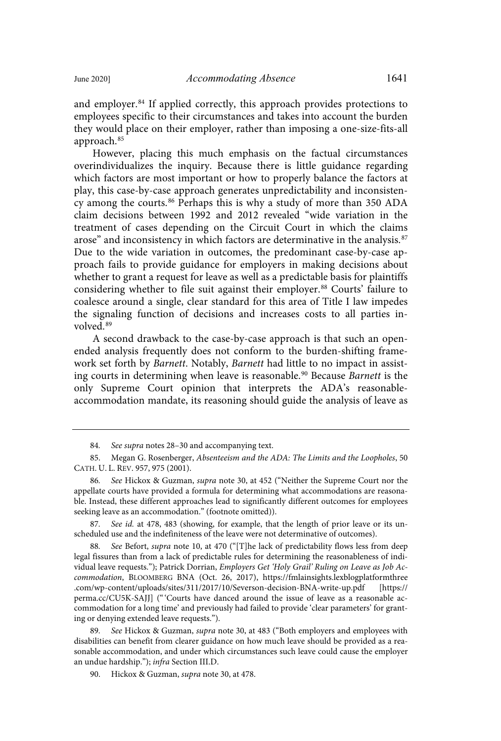and employer. <sup>84</sup> If applied correctly, this approach provides protections to employees specific to their circumstances and takes into account the burden they would place on their employer, rather than imposing a one-size-fits-all approach. 85

However, placing this much emphasis on the factual circumstances overindividualizes the inquiry. Because there is little guidance regarding which factors are most important or how to properly balance the factors at play, this case-by-case approach generates unpredictability and inconsistency among the courts.<sup>86</sup> Perhaps this is why a study of more than 350 ADA claim decisions between 1992 and 2012 revealed "wide variation in the treatment of cases depending on the Circuit Court in which the claims arose" and inconsistency in which factors are determinative in the analysis.<sup>87</sup> Due to the wide variation in outcomes, the predominant case-by-case approach fails to provide guidance for employers in making decisions about whether to grant a request for leave as well as a predictable basis for plaintiffs considering whether to file suit against their employer. <sup>88</sup> Courts' failure to coalesce around a single, clear standard for this area of Title I law impedes the signaling function of decisions and increases costs to all parties involved.<sup>89</sup>

A second drawback to the case-by-case approach is that such an openended analysis frequently does not conform to the burden-shifting framework set forth by Barnett. Notably, Barnett had little to no impact in assisting courts in determining when leave is reasonable.<sup>90</sup> Because Barnett is the only Supreme Court opinion that interprets the ADA's reasonableaccommodation mandate, its reasoning should guide the analysis of leave as

See Befort, supra note 10, at 470 ("[T]he lack of predictability flows less from deep legal fissures than from a lack of predictable rules for determining the reasonableness of individual leave requests."); Patrick Dorrian, Employers Get 'Holy Grail' Ruling on Leave as Job Accommodation, BLOOMBERG BNA (Oct. 26, 2017), https://fmlainsights.lexblogplatformthree .com/wp-content/uploads/sites/311/2017/10/Severson-decision-BNA-write-up.pdf [https:// perma.cc/CU5K-SAJJ] ("'Courts have danced around the issue of leave as a reasonable accommodation for a long time' and previously had failed to provide 'clear parameters' for granting or denying extended leave requests.").

89. See Hickox & Guzman, supra note 30, at 483 ("Both employers and employees with disabilities can benefit from clearer guidance on how much leave should be provided as a reasonable accommodation, and under which circumstances such leave could cause the employer an undue hardship."); infra Section III.D.

90. Hickox & Guzman, supra note 30, at 478.

<sup>84</sup>. See supra notes 28–30 and accompanying text.

<sup>85.</sup> Megan G. Rosenberger, Absenteeism and the ADA: The Limits and the Loopholes, 50 CATH. U. L. REV. 957, 975 (2001).

<sup>86</sup>. See Hickox & Guzman, supra note 30, at 452 ("Neither the Supreme Court nor the appellate courts have provided a formula for determining what accommodations are reasonable. Instead, these different approaches lead to significantly different outcomes for employees seeking leave as an accommodation." (footnote omitted)).

<sup>87.</sup> See id. at 478, 483 (showing, for example, that the length of prior leave or its unscheduled use and the indefiniteness of the leave were not determinative of outcomes).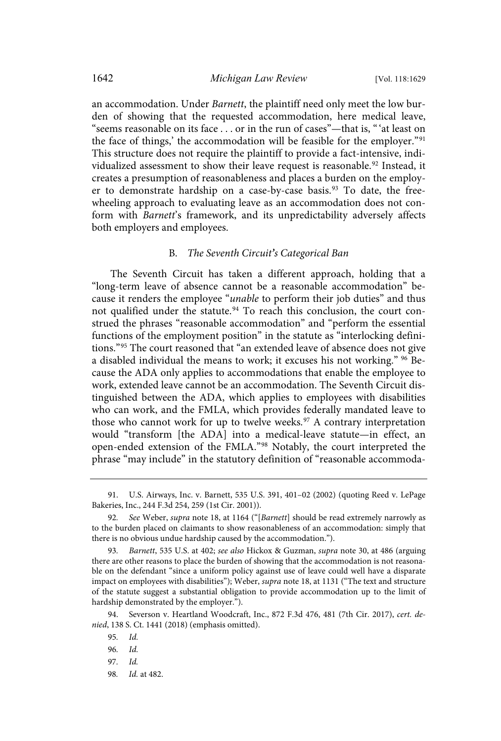an accommodation. Under Barnett, the plaintiff need only meet the low burden of showing that the requested accommodation, here medical leave, "seems reasonable on its face . . . or in the run of cases"—that is, "'at least on the face of things,' the accommodation will be feasible for the employer."<sup>91</sup> This structure does not require the plaintiff to provide a fact-intensive, individualized assessment to show their leave request is reasonable.<sup>92</sup> Instead, it creates a presumption of reasonableness and places a burden on the employer to demonstrate hardship on a case-by-case basis.<sup>93</sup> To date, the freewheeling approach to evaluating leave as an accommodation does not conform with Barnett's framework, and its unpredictability adversely affects both employers and employees.

#### B. The Seventh Circuit*'*s Categorical Ban

The Seventh Circuit has taken a different approach, holding that a "long-term leave of absence cannot be a reasonable accommodation" because it renders the employee "*unable* to perform their job duties" and thus not qualified under the statute.<sup>94</sup> To reach this conclusion, the court construed the phrases "reasonable accommodation" and "perform the essential functions of the employment position" in the statute as "interlocking definitions."<sup>95</sup> The court reasoned that "an extended leave of absence does not give a disabled individual the means to work; it excuses his not working." <sup>96</sup> Because the ADA only applies to accommodations that enable the employee to work, extended leave cannot be an accommodation. The Seventh Circuit distinguished between the ADA, which applies to employees with disabilities who can work, and the FMLA, which provides federally mandated leave to those who cannot work for up to twelve weeks.<sup>97</sup> A contrary interpretation would "transform [the ADA] into a medical-leave statute—in effect, an open-ended extension of the FMLA."<sup>98</sup> Notably, the court interpreted the phrase "may include" in the statutory definition of "reasonable accommoda-

98. Id. at 482.

<sup>91.</sup> U.S. Airways, Inc. v. Barnett, 535 U.S. 391, 401–02 (2002) (quoting Reed v. LePage Bakeries, Inc., 244 F.3d 254, 259 (1st Cir. 2001)).

<sup>92.</sup> See Weber, supra note 18, at 1164 ("[Barnett] should be read extremely narrowly as to the burden placed on claimants to show reasonableness of an accommodation: simply that there is no obvious undue hardship caused by the accommodation.").

<sup>93</sup>. Barnett, 535 U.S. at 402; see also Hickox & Guzman, supra note 30, at 486 (arguing there are other reasons to place the burden of showing that the accommodation is not reasonable on the defendant "since a uniform policy against use of leave could well have a disparate impact on employees with disabilities"); Weber, *supra* note 18, at 1131 ("The text and structure of the statute suggest a substantial obligation to provide accommodation up to the limit of hardship demonstrated by the employer.").

<sup>94.</sup> Severson v. Heartland Woodcraft, Inc., 872 F.3d 476, 481 (7th Cir. 2017), cert. denied, 138 S. Ct. 1441 (2018) (emphasis omitted).

<sup>95</sup>. Id.

<sup>96</sup>. Id.

<sup>97</sup>. Id.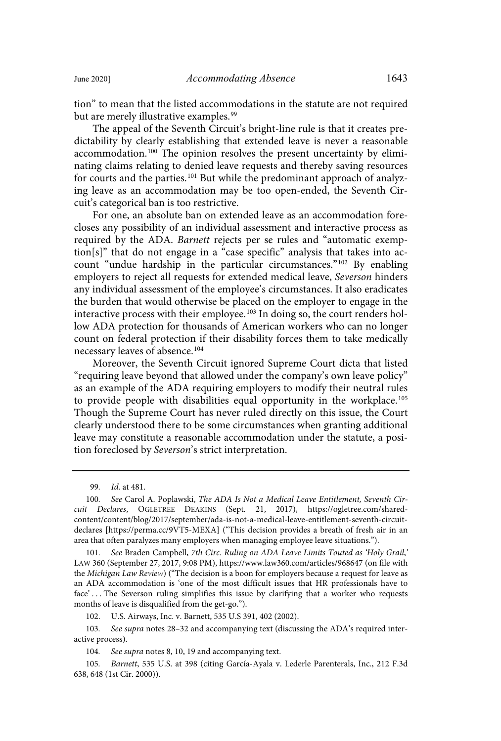tion" to mean that the listed accommodations in the statute are not required but are merely illustrative examples.<sup>99</sup>

The appeal of the Seventh Circuit's bright-line rule is that it creates predictability by clearly establishing that extended leave is never a reasonable accommodation.<sup>100</sup> The opinion resolves the present uncertainty by eliminating claims relating to denied leave requests and thereby saving resources for courts and the parties.<sup>101</sup> But while the predominant approach of analyzing leave as an accommodation may be too open-ended, the Seventh Circuit's categorical ban is too restrictive.

For one, an absolute ban on extended leave as an accommodation forecloses any possibility of an individual assessment and interactive process as required by the ADA. Barnett rejects per se rules and "automatic exemption[s]" that do not engage in a "case specific" analysis that takes into account "undue hardship in the particular circumstances." <sup>102</sup> By enabling employers to reject all requests for extended medical leave, Severson hinders any individual assessment of the employee's circumstances. It also eradicates the burden that would otherwise be placed on the employer to engage in the interactive process with their employee.<sup>103</sup> In doing so, the court renders hollow ADA protection for thousands of American workers who can no longer count on federal protection if their disability forces them to take medically necessary leaves of absence.<sup>104</sup>

Moreover, the Seventh Circuit ignored Supreme Court dicta that listed "requiring leave beyond that allowed under the company's own leave policy" as an example of the ADA requiring employers to modify their neutral rules to provide people with disabilities equal opportunity in the workplace.<sup>105</sup> Though the Supreme Court has never ruled directly on this issue, the Court clearly understood there to be some circumstances when granting additional leave may constitute a reasonable accommodation under the statute, a position foreclosed by Severson's strict interpretation.

<sup>99</sup>. Id. at 481.

<sup>100</sup>. See Carol A. Poplawski, The ADA Is Not a Medical Leave Entitlement, Seventh Circuit Declares, OGLETREE DEAKINS (Sept. 21, 2017), https://ogletree.com/sharedcontent/content/blog/2017/september/ada-is-not-a-medical-leave-entitlement-seventh-circuitdeclares [https://perma.cc/9VT5-MEXA] ("This decision provides a breath of fresh air in an area that often paralyzes many employers when managing employee leave situations.").

<sup>101</sup>. See Braden Campbell, 7th Circ. Ruling on ADA Leave Limits Touted as 'Holy Grail,' LAW 360 (September 27, 2017, 9:08 PM), https://www.law360.com/articles/968647 (on file with the Michigan Law Review) ("The decision is a boon for employers because a request for leave as an ADA accommodation is 'one of the most difficult issues that HR professionals have to face' . . . The Severson ruling simplifies this issue by clarifying that a worker who requests months of leave is disqualified from the get-go.").

<sup>102.</sup> U.S. Airways, Inc. v. Barnett, 535 U.S 391, 402 (2002).

<sup>103</sup>. See supra notes 28–32 and accompanying text (discussing the ADA's required interactive process).

<sup>104</sup>. See supra notes 8, 10, 19 and accompanying text.

<sup>105</sup>. Barnett, 535 U.S. at 398 (citing García-Ayala v. Lederle Parenterals, Inc., 212 F.3d 638, 648 (1st Cir. 2000)).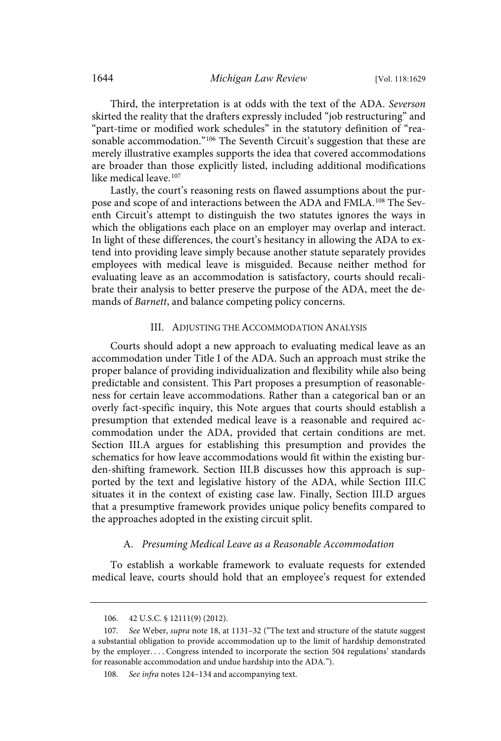Third, the interpretation is at odds with the text of the ADA. Severson skirted the reality that the drafters expressly included "job restructuring" and "part-time or modified work schedules" in the statutory definition of "reasonable accommodation."<sup>106</sup> The Seventh Circuit's suggestion that these are merely illustrative examples supports the idea that covered accommodations are broader than those explicitly listed, including additional modifications like medical leave. 107

Lastly, the court's reasoning rests on flawed assumptions about the purpose and scope of and interactions between the ADA and FMLA.<sup>108</sup> The Seventh Circuit's attempt to distinguish the two statutes ignores the ways in which the obligations each place on an employer may overlap and interact. In light of these differences, the court's hesitancy in allowing the ADA to extend into providing leave simply because another statute separately provides employees with medical leave is misguided. Because neither method for evaluating leave as an accommodation is satisfactory, courts should recalibrate their analysis to better preserve the purpose of the ADA, meet the demands of Barnett, and balance competing policy concerns.

#### III. ADJUSTING THE ACCOMMODATION ANALYSIS

Courts should adopt a new approach to evaluating medical leave as an accommodation under Title I of the ADA. Such an approach must strike the proper balance of providing individualization and flexibility while also being predictable and consistent. This Part proposes a presumption of reasonableness for certain leave accommodations. Rather than a categorical ban or an overly fact-specific inquiry, this Note argues that courts should establish a presumption that extended medical leave is a reasonable and required accommodation under the ADA, provided that certain conditions are met. Section III.A argues for establishing this presumption and provides the schematics for how leave accommodations would fit within the existing burden-shifting framework. Section III.B discusses how this approach is supported by the text and legislative history of the ADA, while Section III.C situates it in the context of existing case law. Finally, Section III.D argues that a presumptive framework provides unique policy benefits compared to the approaches adopted in the existing circuit split.

#### A. Presuming Medical Leave as a Reasonable Accommodation

To establish a workable framework to evaluate requests for extended medical leave, courts should hold that an employee's request for extended

<sup>106. 42</sup> U.S.C. § 12111(9) (2012).

<sup>107.</sup> See Weber, supra note 18, at 1131-32 ("The text and structure of the statute suggest a substantial obligation to provide accommodation up to the limit of hardship demonstrated by the employer. . . . Congress intended to incorporate the section 504 regulations' standards for reasonable accommodation and undue hardship into the ADA.").

<sup>108</sup>. See infra notes 124–134 and accompanying text.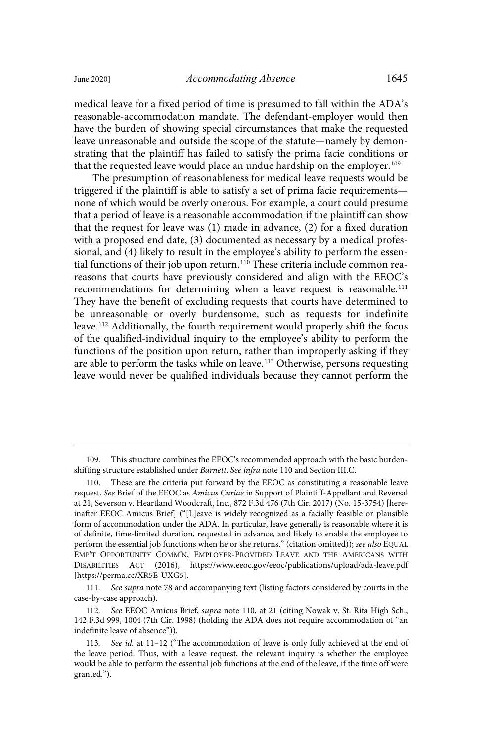medical leave for a fixed period of time is presumed to fall within the ADA's reasonable-accommodation mandate. The defendant-employer would then have the burden of showing special circumstances that make the requested leave unreasonable and outside the scope of the statute—namely by demonstrating that the plaintiff has failed to satisfy the prima facie conditions or that the requested leave would place an undue hardship on the employer.<sup>109</sup>

The presumption of reasonableness for medical leave requests would be triggered if the plaintiff is able to satisfy a set of prima facie requirements none of which would be overly onerous. For example, a court could presume that a period of leave is a reasonable accommodation if the plaintiff can show that the request for leave was (1) made in advance, (2) for a fixed duration with a proposed end date, (3) documented as necessary by a medical professional, and (4) likely to result in the employee's ability to perform the essential functions of their job upon return.<sup>110</sup> These criteria include common reareasons that courts have previously considered and align with the EEOC's recommendations for determining when a leave request is reasonable.<sup>111</sup> They have the benefit of excluding requests that courts have determined to be unreasonable or overly burdensome, such as requests for indefinite leave. <sup>112</sup> Additionally, the fourth requirement would properly shift the focus of the qualified-individual inquiry to the employee's ability to perform the functions of the position upon return, rather than improperly asking if they are able to perform the tasks while on leave. <sup>113</sup> Otherwise, persons requesting leave would never be qualified individuals because they cannot perform the

111. See supra note 78 and accompanying text (listing factors considered by courts in the case-by-case approach).

<sup>109.</sup> This structure combines the EEOC's recommended approach with the basic burdenshifting structure established under Barnett. See infra note 110 and Section III.C.

<sup>110.</sup> These are the criteria put forward by the EEOC as constituting a reasonable leave request. See Brief of the EEOC as Amicus Curiae in Support of Plaintiff-Appellant and Reversal at 21, Severson v. Heartland Woodcraft, Inc., 872 F.3d 476 (7th Cir. 2017) (No. 15-3754) [hereinafter EEOC Amicus Brief] ("[L]eave is widely recognized as a facially feasible or plausible form of accommodation under the ADA. In particular, leave generally is reasonable where it is of definite, time-limited duration, requested in advance, and likely to enable the employee to perform the essential job functions when he or she returns." (citation omitted)); see also EQUAL EMP'T OPPORTUNITY COMM'N, EMPLOYER-PROVIDED LEAVE AND THE AMERICANS WITH DISABILITIES ACT (2016), https://www.eeoc.gov/eeoc/publications/upload/ada-leave.pdf [https://perma.cc/XR5E-UXG5].

<sup>112</sup>. See EEOC Amicus Brief, supra note 110, at 21 (citing Nowak v. St. Rita High Sch., 142 F.3d 999, 1004 (7th Cir. 1998) (holding the ADA does not require accommodation of "an indefinite leave of absence")).

<sup>113.</sup> See id. at 11-12 ("The accommodation of leave is only fully achieved at the end of the leave period. Thus, with a leave request, the relevant inquiry is whether the employee would be able to perform the essential job functions at the end of the leave, if the time off were granted.").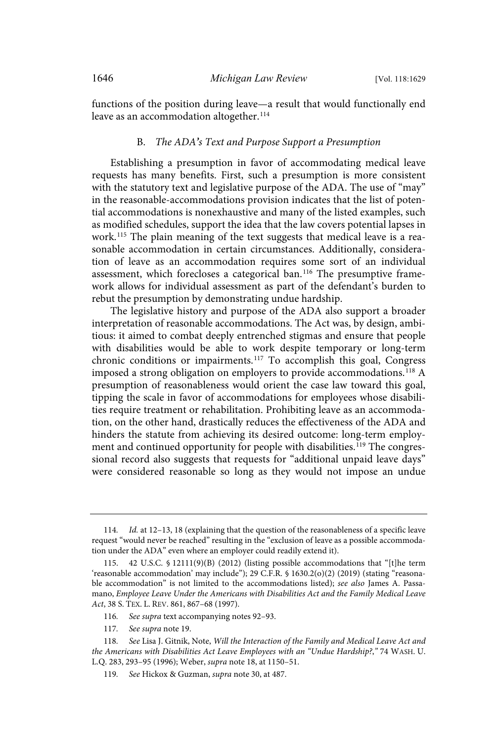functions of the position during leave—a result that would functionally end leave as an accommodation altogether. 114

#### B. The ADA*'*s Text and Purpose Support a Presumption

Establishing a presumption in favor of accommodating medical leave requests has many benefits. First, such a presumption is more consistent with the statutory text and legislative purpose of the ADA. The use of "may" in the reasonable-accommodations provision indicates that the list of potential accommodations is nonexhaustive and many of the listed examples, such as modified schedules, support the idea that the law covers potential lapses in work.<sup>115</sup> The plain meaning of the text suggests that medical leave is a reasonable accommodation in certain circumstances. Additionally, consideration of leave as an accommodation requires some sort of an individual assessment, which forecloses a categorical ban.<sup>116</sup> The presumptive framework allows for individual assessment as part of the defendant's burden to rebut the presumption by demonstrating undue hardship.

The legislative history and purpose of the ADA also support a broader interpretation of reasonable accommodations. The Act was, by design, ambitious: it aimed to combat deeply entrenched stigmas and ensure that people with disabilities would be able to work despite temporary or long-term chronic conditions or impairments.<sup>117</sup> To accomplish this goal, Congress imposed a strong obligation on employers to provide accommodations.<sup>118</sup> A presumption of reasonableness would orient the case law toward this goal, tipping the scale in favor of accommodations for employees whose disabilities require treatment or rehabilitation. Prohibiting leave as an accommodation, on the other hand, drastically reduces the effectiveness of the ADA and hinders the statute from achieving its desired outcome: long-term employment and continued opportunity for people with disabilities.<sup>119</sup> The congressional record also suggests that requests for "additional unpaid leave days" were considered reasonable so long as they would not impose an undue

<sup>114</sup>. Id. at 12–13, 18 (explaining that the question of the reasonableness of a specific leave request "would never be reached" resulting in the "exclusion of leave as a possible accommodation under the ADA" even where an employer could readily extend it).

<sup>115.</sup> 42 U.S.C. § 12111(9)(B) (2012) (listing possible accommodations that "[t]he term 'reasonable accommodation' may include"); 29 C.F.R. § 1630.2(o)(2) (2019) (stating "reasonable accommodation" is not limited to the accommodations listed); see also James A. Passamano, Employee Leave Under the Americans with Disabilities Act and the Family Medical Leave Act, 38 S. TEX. L. REV. 861, 867–68 (1997).

<sup>116</sup>. See supra text accompanying notes 92–93.

<sup>117</sup>. See supra note 19.

<sup>118</sup>. See Lisa J. Gitnik, Note, Will the Interaction of the Family and Medical Leave Act and the Americans with Disabilities Act Leave Employees with an "Undue Hardship?," 74 WASH. U. L.Q. 283, 293–95 (1996); Weber, supra note 18, at 1150–51.

<sup>119</sup>. See Hickox & Guzman, supra note 30, at 487.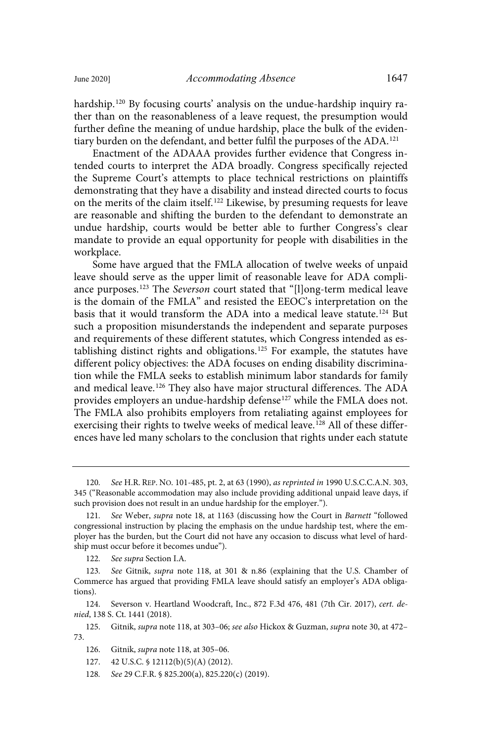hardship.<sup>120</sup> By focusing courts' analysis on the undue-hardship inquiry rather than on the reasonableness of a leave request, the presumption would further define the meaning of undue hardship, place the bulk of the evidentiary burden on the defendant, and better fulfil the purposes of the ADA.<sup>121</sup>

Enactment of the ADAAA provides further evidence that Congress intended courts to interpret the ADA broadly. Congress specifically rejected the Supreme Court's attempts to place technical restrictions on plaintiffs demonstrating that they have a disability and instead directed courts to focus on the merits of the claim itself. <sup>122</sup> Likewise, by presuming requests for leave are reasonable and shifting the burden to the defendant to demonstrate an undue hardship, courts would be better able to further Congress's clear mandate to provide an equal opportunity for people with disabilities in the workplace.

Some have argued that the FMLA allocation of twelve weeks of unpaid leave should serve as the upper limit of reasonable leave for ADA compliance purposes.<sup>123</sup> The Severson court stated that "[l]ong-term medical leave is the domain of the FMLA" and resisted the EEOC's interpretation on the basis that it would transform the ADA into a medical leave statute.<sup>124</sup> But such a proposition misunderstands the independent and separate purposes and requirements of these different statutes, which Congress intended as establishing distinct rights and obligations. <sup>125</sup> For example, the statutes have different policy objectives: the ADA focuses on ending disability discrimination while the FMLA seeks to establish minimum labor standards for family and medical leave.<sup>126</sup> They also have major structural differences. The ADA provides employers an undue-hardship defense<sup>127</sup> while the FMLA does not. The FMLA also prohibits employers from retaliating against employees for exercising their rights to twelve weeks of medical leave.<sup>128</sup> All of these differences have led many scholars to the conclusion that rights under each statute

124. Severson v. Heartland Woodcraft, Inc., 872 F.3d 476, 481 (7th Cir. 2017), cert. denied, 138 S. Ct. 1441 (2018).

125. Gitnik, supra note 118, at 303–06; see also Hickox & Guzman, supra note 30, at 472– 73.

127. 42 U.S.C. § 12112(b)(5)(A) (2012).

128. See 29 C.F.R. § 825.200(a), 825.220(c) (2019).

<sup>120</sup>. See H.R. REP. NO. 101-485, pt. 2, at 63 (1990), as reprinted in 1990 U.S.C.C.A.N. 303, 345 ("Reasonable accommodation may also include providing additional unpaid leave days, if such provision does not result in an undue hardship for the employer.").

<sup>121</sup>. See Weber, supra note 18, at 1163 (discussing how the Court in Barnett "followed congressional instruction by placing the emphasis on the undue hardship test, where the employer has the burden, but the Court did not have any occasion to discuss what level of hardship must occur before it becomes undue").

<sup>122</sup>. See supra Section I.A.

<sup>123</sup>. See Gitnik, supra note 118, at 301 & n.86 (explaining that the U.S. Chamber of Commerce has argued that providing FMLA leave should satisfy an employer's ADA obligations).

<sup>126.</sup> Gitnik, supra note 118, at 305–06.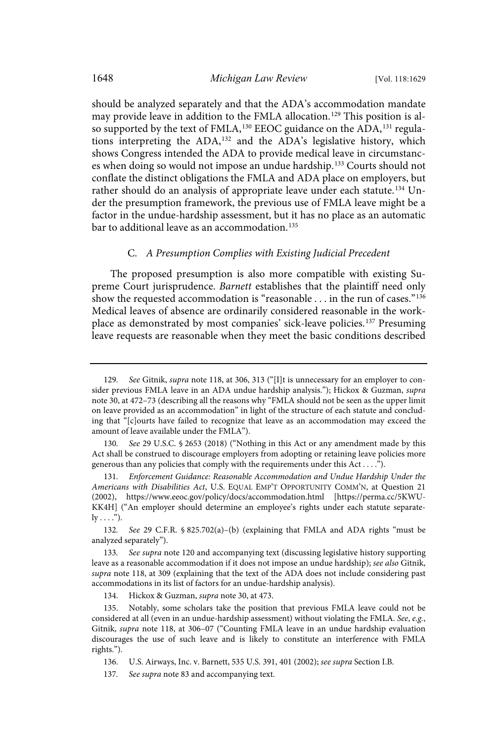should be analyzed separately and that the ADA's accommodation mandate may provide leave in addition to the FMLA allocation.<sup>129</sup> This position is also supported by the text of FMLA,<sup>130</sup> EEOC guidance on the ADA,<sup>131</sup> regulations interpreting the ADA,<sup>132</sup> and the ADA's legislative history, which shows Congress intended the ADA to provide medical leave in circumstances when doing so would not impose an undue hardship.<sup>133</sup> Courts should not conflate the distinct obligations the FMLA and ADA place on employers, but rather should do an analysis of appropriate leave under each statute.<sup>134</sup> Under the presumption framework, the previous use of FMLA leave might be a factor in the undue-hardship assessment, but it has no place as an automatic bar to additional leave as an accommodation. 135

## C. A Presumption Complies with Existing Judicial Precedent

The proposed presumption is also more compatible with existing Supreme Court jurisprudence. Barnett establishes that the plaintiff need only show the requested accommodation is "reasonable . . . in the run of cases."<sup>136</sup> Medical leaves of absence are ordinarily considered reasonable in the workplace as demonstrated by most companies' sick-leave policies. <sup>137</sup> Presuming leave requests are reasonable when they meet the basic conditions described

132. See 29 C.F.R. § 825.702(a)–(b) (explaining that FMLA and ADA rights "must be analyzed separately").

133. See supra note 120 and accompanying text (discussing legislative history supporting leave as a reasonable accommodation if it does not impose an undue hardship); see also Gitnik, supra note 118, at 309 (explaining that the text of the ADA does not include considering past accommodations in its list of factors for an undue-hardship analysis).

134. Hickox & Guzman, supra note 30, at 473.

135. Notably, some scholars take the position that previous FMLA leave could not be considered at all (even in an undue-hardship assessment) without violating the FMLA. See, e.g., Gitnik, *supra* note 118, at 306-07 ("Counting FMLA leave in an undue hardship evaluation discourages the use of such leave and is likely to constitute an interference with FMLA rights.").

<sup>129.</sup> See Gitnik, supra note 118, at 306, 313 ("[I]t is unnecessary for an employer to consider previous FMLA leave in an ADA undue hardship analysis."); Hickox & Guzman, supra note 30, at 472–73 (describing all the reasons why "FMLA should not be seen as the upper limit on leave provided as an accommodation" in light of the structure of each statute and concluding that "[c]ourts have failed to recognize that leave as an accommodation may exceed the amount of leave available under the FMLA").

See 29 U.S.C. § 2653 (2018) ("Nothing in this Act or any amendment made by this Act shall be construed to discourage employers from adopting or retaining leave policies more generous than any policies that comply with the requirements under this Act . . . .").

<sup>131</sup>. Enforcement Guidance: Reasonable Accommodation and Undue Hardship Under the Americans with Disabilities Act, U.S. EQUAL EMP'T OPPORTUNITY COMM'N, at Question 21 (2002), https://www.eeoc.gov/policy/docs/accommodation.html [https://perma.cc/5KWU-KK4H] ("An employer should determine an employee's rights under each statute separate $ly \ldots$ ").

<sup>136.</sup> U.S. Airways, Inc. v. Barnett, 535 U.S. 391, 401 (2002); see supra Section I.B.

<sup>137</sup>. See supra note 83 and accompanying text.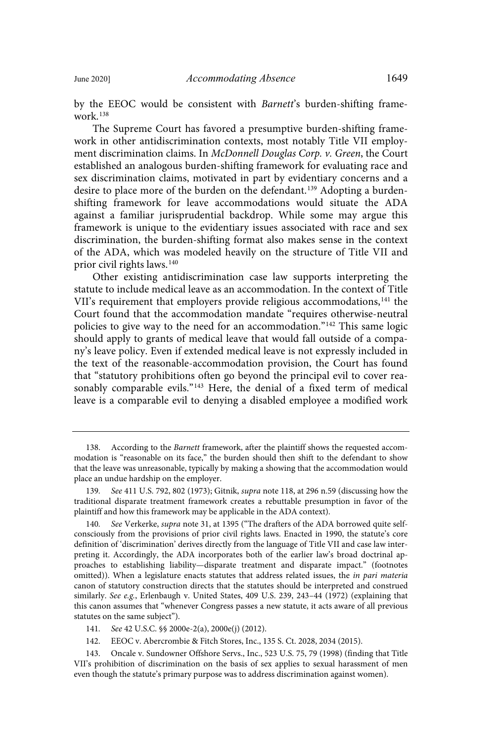by the EEOC would be consistent with Barnett's burden-shifting framework $138$ 

The Supreme Court has favored a presumptive burden-shifting framework in other antidiscrimination contexts, most notably Title VII employment discrimination claims. In McDonnell Douglas Corp. v. Green, the Court established an analogous burden-shifting framework for evaluating race and sex discrimination claims, motivated in part by evidentiary concerns and a desire to place more of the burden on the defendant.<sup>139</sup> Adopting a burdenshifting framework for leave accommodations would situate the ADA against a familiar jurisprudential backdrop. While some may argue this framework is unique to the evidentiary issues associated with race and sex discrimination, the burden-shifting format also makes sense in the context of the ADA, which was modeled heavily on the structure of Title VII and prior civil rights laws. 140

Other existing antidiscrimination case law supports interpreting the statute to include medical leave as an accommodation. In the context of Title VII's requirement that employers provide religious accommodations,<sup>141</sup> the Court found that the accommodation mandate "requires otherwise-neutral policies to give way to the need for an accommodation."<sup>142</sup> This same logic should apply to grants of medical leave that would fall outside of a company's leave policy. Even if extended medical leave is not expressly included in the text of the reasonable-accommodation provision, the Court has found that "statutory prohibitions often go beyond the principal evil to cover reasonably comparable evils."<sup>143</sup> Here, the denial of a fixed term of medical leave is a comparable evil to denying a disabled employee a modified work

143. Oncale v. Sundowner Offshore Servs., Inc., 523 U.S. 75, 79 (1998) (finding that Title VII's prohibition of discrimination on the basis of sex applies to sexual harassment of men even though the statute's primary purpose was to address discrimination against women).

<sup>138.</sup> According to the Barnett framework, after the plaintiff shows the requested accommodation is "reasonable on its face," the burden should then shift to the defendant to show that the leave was unreasonable, typically by making a showing that the accommodation would place an undue hardship on the employer.

<sup>139</sup>. See 411 U.S. 792, 802 (1973); Gitnik, supra note 118, at 296 n.59 (discussing how the traditional disparate treatment framework creates a rebuttable presumption in favor of the plaintiff and how this framework may be applicable in the ADA context).

<sup>140.</sup> See Verkerke, supra note 31, at 1395 ("The drafters of the ADA borrowed quite selfconsciously from the provisions of prior civil rights laws. Enacted in 1990, the statute's core definition of 'discrimination' derives directly from the language of Title VII and case law interpreting it. Accordingly, the ADA incorporates both of the earlier law's broad doctrinal approaches to establishing liability—disparate treatment and disparate impact." (footnotes omitted)). When a legislature enacts statutes that address related issues, the in pari materia canon of statutory construction directs that the statutes should be interpreted and construed similarly. See e.g., Erlenbaugh v. United States, 409 U.S. 239, 243-44 (1972) (explaining that this canon assumes that "whenever Congress passes a new statute, it acts aware of all previous statutes on the same subject").

<sup>141.</sup> See 42 U.S.C. §§ 2000e-2(a), 2000e(j) (2012).

<sup>142.</sup> EEOC v. Abercrombie & Fitch Stores, Inc., 135 S. Ct. 2028, 2034 (2015).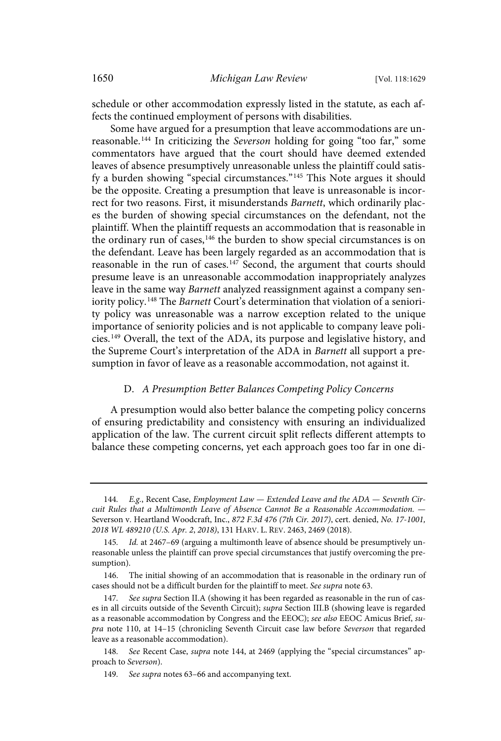schedule or other accommodation expressly listed in the statute, as each affects the continued employment of persons with disabilities.

Some have argued for a presumption that leave accommodations are unreasonable.<sup>144</sup> In criticizing the Severson holding for going "too far," some commentators have argued that the court should have deemed extended leaves of absence presumptively unreasonable unless the plaintiff could satisfy a burden showing "special circumstances."<sup>145</sup> This Note argues it should be the opposite. Creating a presumption that leave is unreasonable is incorrect for two reasons. First, it misunderstands Barnett, which ordinarily places the burden of showing special circumstances on the defendant, not the plaintiff. When the plaintiff requests an accommodation that is reasonable in the ordinary run of cases, <sup>146</sup> the burden to show special circumstances is on the defendant. Leave has been largely regarded as an accommodation that is reasonable in the run of cases. $147$  Second, the argument that courts should presume leave is an unreasonable accommodation inappropriately analyzes leave in the same way Barnett analyzed reassignment against a company seniority policy.<sup>148</sup> The Barnett Court's determination that violation of a seniority policy was unreasonable was a narrow exception related to the unique importance of seniority policies and is not applicable to company leave policies. <sup>149</sup> Overall, the text of the ADA, its purpose and legislative history, and the Supreme Court's interpretation of the ADA in Barnett all support a presumption in favor of leave as a reasonable accommodation, not against it.

#### D. A Presumption Better Balances Competing Policy Concerns

A presumption would also better balance the competing policy concerns of ensuring predictability and consistency with ensuring an individualized application of the law. The current circuit split reflects different attempts to balance these competing concerns, yet each approach goes too far in one di-

<sup>144.</sup>  $E.g.,$  Recent Case, Employment Law  $-$  Extended Leave and the ADA  $-$  Seventh Circuit Rules that a Multimonth Leave of Absence Cannot Be a Reasonable Accommodation. — Severson v. Heartland Woodcraft, Inc., 872 F.3d 476 (7th Cir. 2017), cert. denied, No. 17-1001, 2018 WL 489210 (U.S. Apr. 2, 2018), 131 HARV. L. REV. 2463, 2469 (2018).

<sup>145</sup>. Id. at 2467–69 (arguing a multimonth leave of absence should be presumptively unreasonable unless the plaintiff can prove special circumstances that justify overcoming the presumption).

<sup>146.</sup> The initial showing of an accommodation that is reasonable in the ordinary run of cases should not be a difficult burden for the plaintiff to meet. See supra note 63.

<sup>147</sup>. See supra Section II.A (showing it has been regarded as reasonable in the run of cases in all circuits outside of the Seventh Circuit); supra Section III.B (showing leave is regarded as a reasonable accommodation by Congress and the EEOC); see also EEOC Amicus Brief, supra note 110, at 14–15 (chronicling Seventh Circuit case law before Severson that regarded leave as a reasonable accommodation).

<sup>148</sup>. See Recent Case, supra note 144, at 2469 (applying the "special circumstances" approach to Severson).

<sup>149</sup>. See supra notes 63–66 and accompanying text.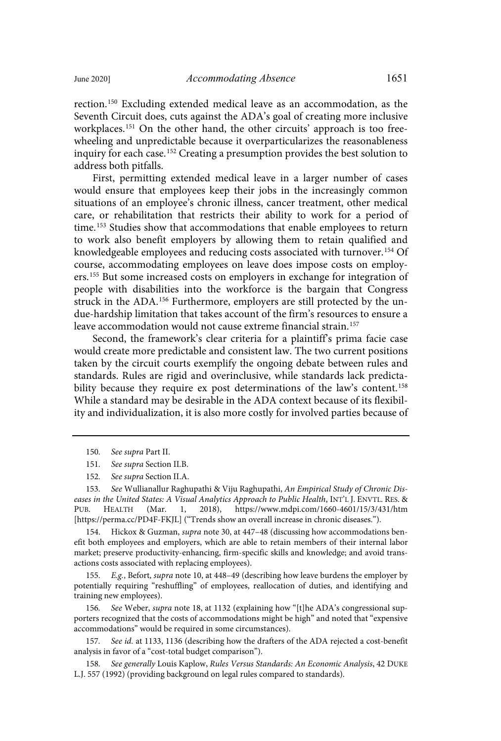rection.<sup>150</sup> Excluding extended medical leave as an accommodation, as the Seventh Circuit does, cuts against the ADA's goal of creating more inclusive workplaces.<sup>151</sup> On the other hand, the other circuits' approach is too freewheeling and unpredictable because it overparticularizes the reasonableness inquiry for each case.<sup>152</sup> Creating a presumption provides the best solution to address both pitfalls.

First, permitting extended medical leave in a larger number of cases would ensure that employees keep their jobs in the increasingly common situations of an employee's chronic illness, cancer treatment, other medical care, or rehabilitation that restricts their ability to work for a period of time.<sup>153</sup> Studies show that accommodations that enable employees to return to work also benefit employers by allowing them to retain qualified and knowledgeable employees and reducing costs associated with turnover.<sup>154</sup> Of course, accommodating employees on leave does impose costs on employers.<sup>155</sup> But some increased costs on employers in exchange for integration of people with disabilities into the workforce is the bargain that Congress struck in the ADA.<sup>156</sup> Furthermore, employers are still protected by the undue-hardship limitation that takes account of the firm's resources to ensure a leave accommodation would not cause extreme financial strain.<sup>157</sup>

Second, the framework's clear criteria for a plaintiff's prima facie case would create more predictable and consistent law. The two current positions taken by the circuit courts exemplify the ongoing debate between rules and standards. Rules are rigid and overinclusive, while standards lack predictability because they require ex post determinations of the law's content. 158 While a standard may be desirable in the ADA context because of its flexibility and individualization, it is also more costly for involved parties because of

154. Hickox & Guzman, supra note 30, at 447–48 (discussing how accommodations benefit both employees and employers, which are able to retain members of their internal labor market; preserve productivity-enhancing, firm-specific skills and knowledge; and avoid transactions costs associated with replacing employees).

155. E.g., Befort, supra note 10, at 448–49 (describing how leave burdens the employer by potentially requiring "reshuffling" of employees, reallocation of duties, and identifying and training new employees).

156. See Weber, supra note 18, at 1132 (explaining how "[t]he ADA's congressional supporters recognized that the costs of accommodations might be high" and noted that "expensive accommodations" would be required in some circumstances).

157. See id. at 1133, 1136 (describing how the drafters of the ADA rejected a cost-benefit analysis in favor of a "cost-total budget comparison").

158. See generally Louis Kaplow, Rules Versus Standards: An Economic Analysis, 42 DUKE L.J. 557 (1992) (providing background on legal rules compared to standards).

<sup>150</sup>. See supra Part II.

<sup>151</sup>. See supra Section II.B.

<sup>152</sup>. See supra Section II.A.

<sup>153</sup>. See Wullianallur Raghupathi & Viju Raghupathi, An Empirical Study of Chronic Diseases in the United States: A Visual Analytics Approach to Public Health, INT'L J. ENVTL. RES. &<br>PUB. HEALTH (Mar. 1, 2018), https://www.mdpi.com/1660-4601/15/3/431/htm PUB. HEALTH (Mar. 1, 2018), https://www.mdpi.com/1660-4601/15/3/431/htm [https://perma.cc/PD4F-FKJL] ("Trends show an overall increase in chronic diseases.").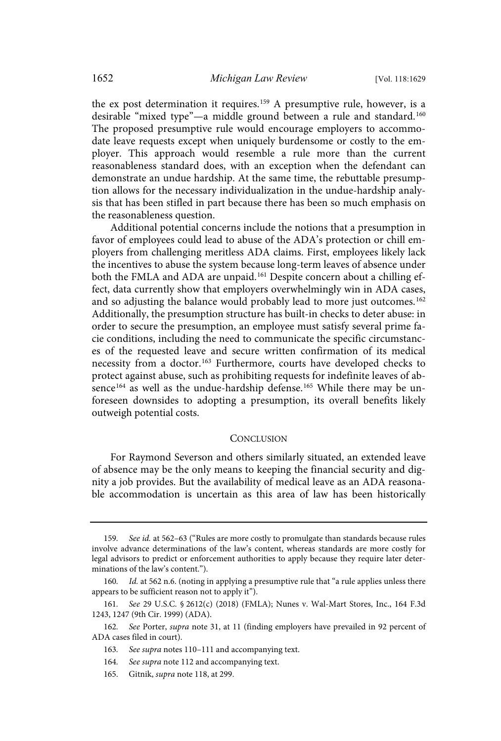the ex post determination it requires.<sup>159</sup> A presumptive rule, however, is a desirable "mixed type"—a middle ground between a rule and standard.<sup>160</sup> The proposed presumptive rule would encourage employers to accommodate leave requests except when uniquely burdensome or costly to the employer. This approach would resemble a rule more than the current reasonableness standard does, with an exception when the defendant can demonstrate an undue hardship. At the same time, the rebuttable presumption allows for the necessary individualization in the undue-hardship analysis that has been stifled in part because there has been so much emphasis on the reasonableness question.

Additional potential concerns include the notions that a presumption in favor of employees could lead to abuse of the ADA's protection or chill employers from challenging meritless ADA claims. First, employees likely lack the incentives to abuse the system because long-term leaves of absence under both the FMLA and ADA are unpaid.<sup>161</sup> Despite concern about a chilling effect, data currently show that employers overwhelmingly win in ADA cases, and so adjusting the balance would probably lead to more just outcomes.<sup>162</sup> Additionally, the presumption structure has built-in checks to deter abuse: in order to secure the presumption, an employee must satisfy several prime facie conditions, including the need to communicate the specific circumstances of the requested leave and secure written confirmation of its medical necessity from a doctor.<sup>163</sup> Furthermore, courts have developed checks to protect against abuse, such as prohibiting requests for indefinite leaves of absence<sup>164</sup> as well as the undue-hardship defense.<sup>165</sup> While there may be unforeseen downsides to adopting a presumption, its overall benefits likely outweigh potential costs.

#### **CONCLUSION**

For Raymond Severson and others similarly situated, an extended leave of absence may be the only means to keeping the financial security and dignity a job provides. But the availability of medical leave as an ADA reasonable accommodation is uncertain as this area of law has been historically

<sup>159</sup>. See id. at 562–63 ("Rules are more costly to promulgate than standards because rules involve advance determinations of the law's content, whereas standards are more costly for legal advisors to predict or enforcement authorities to apply because they require later determinations of the law's content.").

<sup>160</sup>. Id. at 562 n.6. (noting in applying a presumptive rule that "a rule applies unless there appears to be sufficient reason not to apply it").

<sup>161</sup>. See 29 U.S.C. § 2612(c) (2018) (FMLA); Nunes v. Wal-Mart Stores, Inc., 164 F.3d 1243, 1247 (9th Cir. 1999) (ADA).

<sup>162</sup>. See Porter, supra note 31, at 11 (finding employers have prevailed in 92 percent of ADA cases filed in court).

<sup>163</sup>. See supra notes 110–111 and accompanying text.

<sup>164</sup>. See supra note 112 and accompanying text.

<sup>165.</sup> Gitnik, supra note 118, at 299.